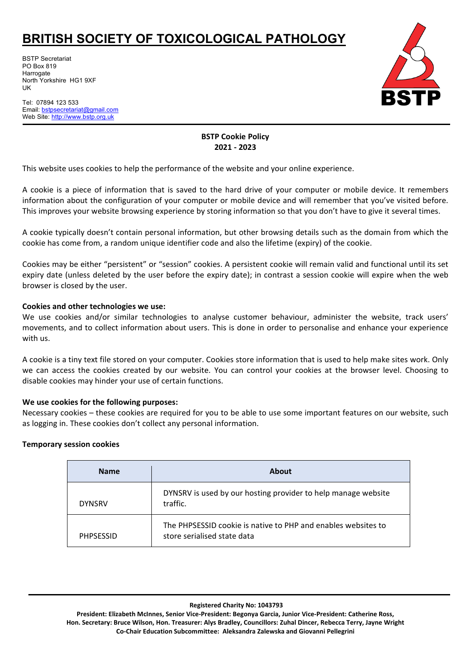# **BRITISH SOCIETY OF TOXICOLOGICAL PATHOLOGY**

BSTP Secretariat PO Box 819 **Harrogate** North Yorkshire HG1 9XF UK

Tel: 07894 123 533 Email: [bstpsecretariat@gmail.com](mailto:bstpsecretariat@gmail.com) Web Site: http://www.bstp.org.uk



## **BSTP Cookie Policy 2021 - 2023**

This website uses cookies to help the performance of the website and your online experience.

A cookie is a piece of information that is saved to the hard drive of your computer or mobile device. It remembers information about the configuration of your computer or mobile device and will remember that you've visited before. This improves your website browsing experience by storing information so that you don't have to give it several times.

A cookie typically doesn't contain personal information, but other browsing details such as the domain from which the cookie has come from, a random unique identifier code and also the lifetime (expiry) of the cookie.

Cookies may be either "persistent" or "session" cookies. A persistent cookie will remain valid and functional until its set expiry date (unless deleted by the user before the expiry date); in contrast a session cookie will expire when the web browser is closed by the user.

## **Cookies and other technologies we use:**

We use cookies and/or similar technologies to analyse customer behaviour, administer the website, track users' movements, and to collect information about users. This is done in order to personalise and enhance your experience with us.

A cookie is a tiny text file stored on your computer. Cookies store information that is used to help make sites work. Only we can access the cookies created by our website. You can control your cookies at the browser level. Choosing to disable cookies may hinder your use of certain functions.

## **We use cookies for the following purposes:**

Necessary cookies – these cookies are required for you to be able to use some important features on our website, such as logging in. These cookies don't collect any personal information.

## **Temporary session cookies**

| <b>Name</b>      | <b>About</b>                                                                                 |
|------------------|----------------------------------------------------------------------------------------------|
| <b>DYNSRV</b>    | DYNSRV is used by our hosting provider to help manage website<br>traffic.                    |
| <b>PHPSESSID</b> | The PHPSESSID cookie is native to PHP and enables websites to<br>store serialised state data |

**Registered Charity No: 1043793**

**President: Elizabeth McInnes, Senior Vice-President: Begonya Garcia, Junior Vice-President: Catherine Ross, Hon. Secretary: Bruce Wilson, Hon. Treasurer: Alys Bradley, Councillors: Zuhal Dincer, Rebecca Terry, Jayne Wright Co-Chair Education Subcommittee: Aleksandra Zalewska and Giovanni Pellegrini**